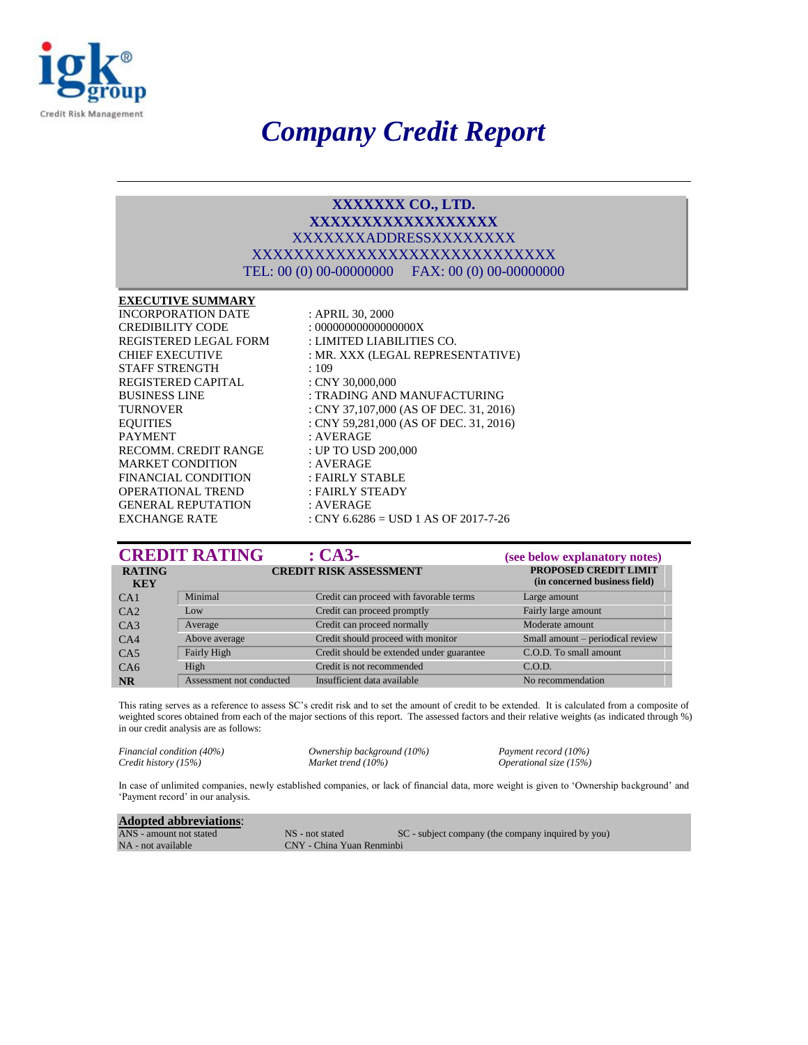

# *Company Credit Report*

#### **XXXXXXX CO., LTD. XXXXXXXXXXXXXXXXXX** XXXXXXXADDRESSXXXXXXXX XXXXXXXXXXXXXXXXXXXXXXXXXXXXX TEL: 00 (0) 00-00000000 FAX: 00 (0) 00-00000000

#### **EXECUTIVE SUMMARY**

CREDIBILITY CODE : 000000000000000000X STAFF STRENGTH : 109 REGISTERED CAPITAL : CNY 30,000,000 PAYMENT : AVERAGE RECOMM. CREDIT RANGE : UP TO USD 200,000 MARKET CONDITION : AVERAGE FINANCIAL CONDITION : FAIRLY STABLE OPERATIONAL TREND : FAIRLY STEADY GENERAL REPUTATION : AVERAGE

INCORPORATION DATE: APRIL 30, 2000 REGISTERED LEGAL FORM : LIMITED LIABILITIES CO. CHIEF EXECUTIVE : MR. XXX (LEGAL REPRESENTATIVE) BUSINESS LINE : TRADING AND MANUFACTURING TURNOVER : CNY 37,107,000 (AS OF DEC. 31, 2016) EQUITIES : CNY 59,281,000 (AS OF DEC. 31, 2016) EXCHANGE RATE : CNY 6.6286 = USD 1 AS OF 2017-7-26

|                             | <b>CREDIT RATING</b>     | $\cdot$ CA3-                              | (see below explanatory notes)                          |
|-----------------------------|--------------------------|-------------------------------------------|--------------------------------------------------------|
| <b>RATING</b><br><b>KEY</b> |                          | <b>CREDIT RISK ASSESSMENT</b>             | PROPOSED CREDIT LIMIT<br>(in concerned business field) |
| CA <sub>1</sub>             | Minimal                  | Credit can proceed with favorable terms   | Large amount                                           |
| CA2                         | $_{\text{low}}$          | Credit can proceed promptly               | Fairly large amount                                    |
| CA3                         | Average                  | Credit can proceed normally               | Moderate amount                                        |
| CA4                         | Above average            | Credit should proceed with monitor        | Small amount - periodical review                       |
| CA5                         | Fairly High              | Credit should be extended under guarantee | C.O.D. To small amount                                 |
| C <sub>A6</sub>             | High                     | Credit is not recommended                 | C.O.D.                                                 |
| <b>NR</b>                   | Assessment not conducted | Insufficient data available               | No recommendation                                      |

This rating serves as a reference to assess SC's credit risk and to set the amount of credit to be extended. It is calculated from a composite of weighted scores obtained from each of the major sections of this report. The assessed factors and their relative weights (as indicated through %) in our credit analysis are as follows:

*Financial condition (40%) Ownership background (10%) Payment record (10%)*<br>*Credit history (15%) Market trend (10%) Operational size (15%)* 

*Credit history (15%) Market trend (10%) Operational size (15%)*

In case of unlimited companies, newly established companies, or lack of financial data, more weight is given to 'Ownership background' and 'Payment record' in our analysis.

| <b>Adopted abbreviations:</b> |                           |                                                    |
|-------------------------------|---------------------------|----------------------------------------------------|
| ANS - amount not stated       | NS - not stated           | SC - subject company (the company inquired by you) |
| NA - not available            | CNY - China Yuan Renminbi |                                                    |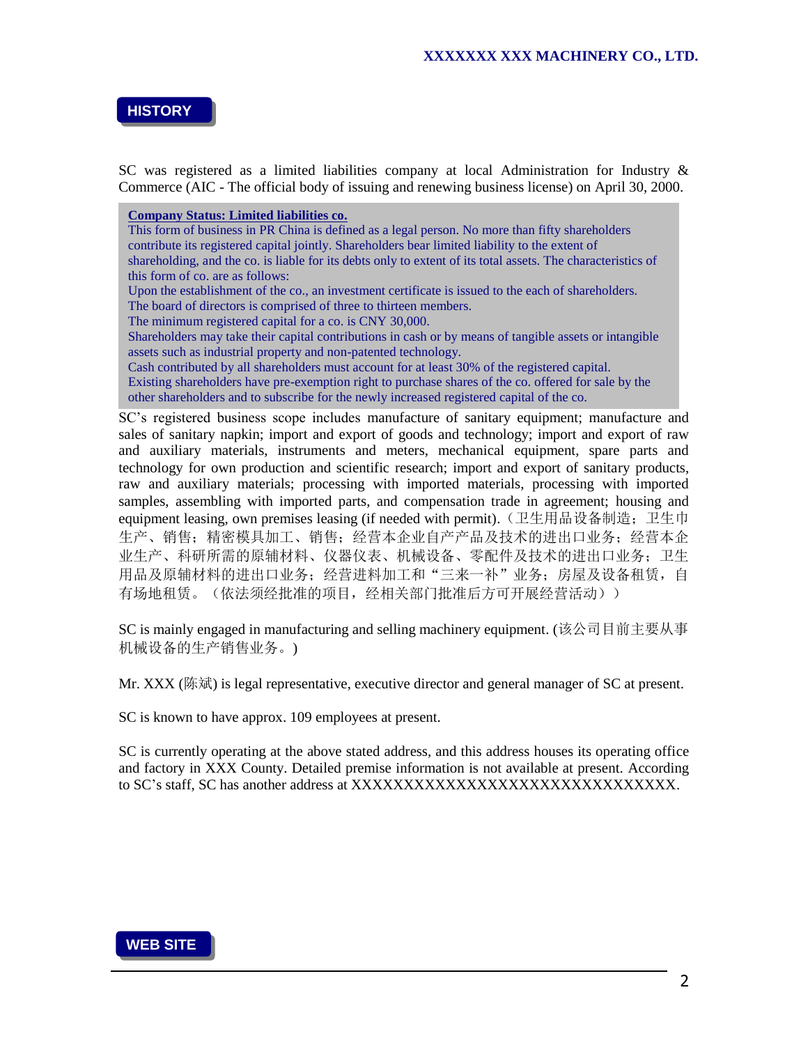## **HISTORY**

SC was registered as a limited liabilities company at local Administration for Industry & Commerce (AIC - The official body of issuing and renewing business license) on April 30, 2000.

**Company Status: Limited liabilities co.**

This form of business in PR China is defined as a legal person. No more than fifty shareholders contribute its registered capital jointly. Shareholders bear limited liability to the extent of shareholding, and the co. is liable for its debts only to extent of its total assets. The characteristics of this form of co. are as follows:

Upon the establishment of the co., an investment certificate is issued to the each of shareholders.

The board of directors is comprised of three to thirteen members.

The minimum registered capital for a co. is CNY 30,000.

Shareholders may take their capital contributions in cash or by means of tangible assets or intangible assets such as industrial property and non-patented technology.

Cash contributed by all shareholders must account for at least 30% of the registered capital. Existing shareholders have pre-exemption right to purchase shares of the co. offered for sale by the other shareholders and to subscribe for the newly increased registered capital of the co.

SC's registered business scope includes manufacture of sanitary equipment; manufacture and sales of sanitary napkin; import and export of goods and technology; import and export of raw and auxiliary materials, instruments and meters, mechanical equipment, spare parts and technology for own production and scientific research; import and export of sanitary products, raw and auxiliary materials; processing with imported materials, processing with imported samples, assembling with imported parts, and compensation trade in agreement; housing and equipment leasing, own premises leasing (if needed with permit).(卫生用品设备制造;卫生巾 生产、销售;精密模具加工、销售;经营本企业自产产品及技术的进出口业务;经营本企 业生产、科研所需的原辅材料、仪器仪表、机械设备、零配件及技术的进出口业务;卫生 用品及原辅材料的进出口业务;经营进料加工和"三来一补"业务;房屋及设备租赁,自 有场地租赁。(依法须经批准的项目,经相关部门批准后方可开展经营活动))

SC is mainly engaged in manufacturing and selling machinery equipment. (该公司目前主要从事 机械设备的生产销售业务。)

Mr. XXX (陈斌) is legal representative, executive director and general manager of SC at present.

SC is known to have approx. 109 employees at present.

SC is currently operating at the above stated address, and this address houses its operating office and factory in XXX County. Detailed premise information is not available at present. According to SC's staff, SC has another address at XXXXXXXXXXXXXXXXXXXXXXXXXXXXXXX.

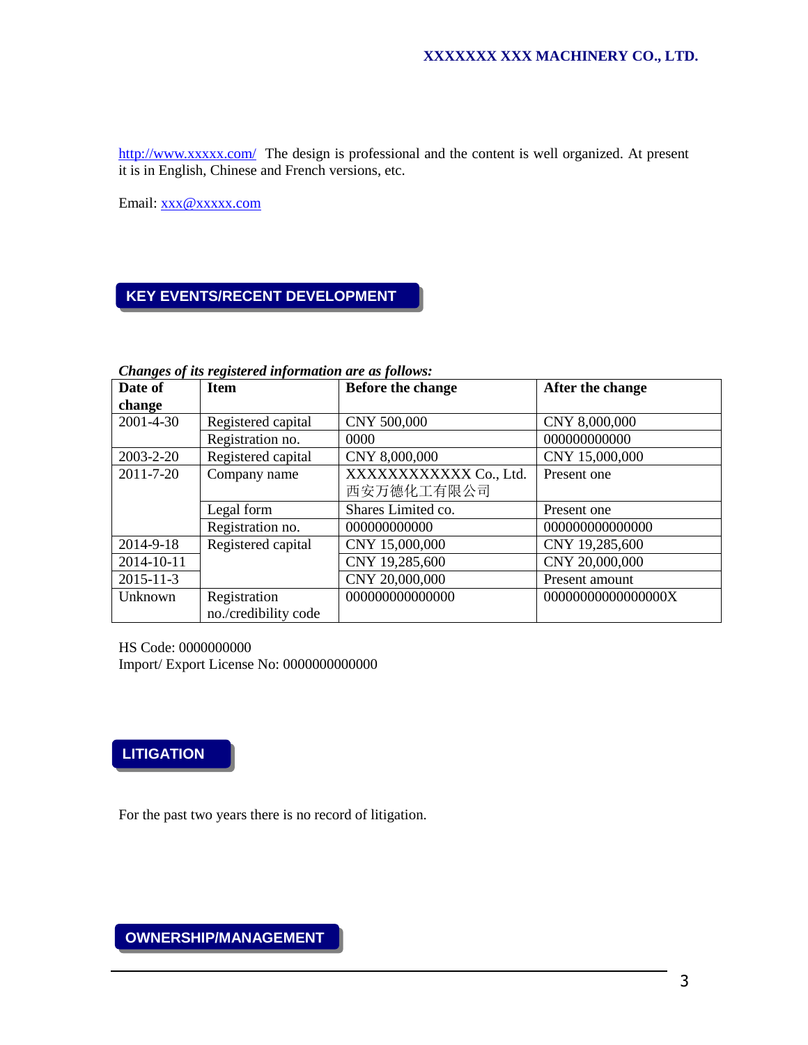<http://www.xxxxx.com/>The design is professional and the content is well organized. At present it is in English, Chinese and French versions, etc.

Email: [xxx@xxxxx.com](mailto:xxx@xxxxx.com) 

# **KEY EVENTS/RECENT DEVELOPMENT**

*Changes of its registered information are as follows:*

| Date of         | <b>Item</b>          | <b>Before the change</b> | After the change   |
|-----------------|----------------------|--------------------------|--------------------|
| change          |                      |                          |                    |
| $2001 - 4 - 30$ | Registered capital   | CNY 500,000              | CNY 8,000,000      |
|                 | Registration no.     | 0000                     | 000000000000       |
| 2003-2-20       | Registered capital   | CNY 8,000,000            | CNY 15,000,000     |
| $2011 - 7 - 20$ | Company name         | XXXXXXXXXXX Co., Ltd.    | Present one        |
|                 |                      | 西安万德化工有限公司               |                    |
|                 | Legal form           | Shares Limited co.       | Present one        |
|                 | Registration no.     | 000000000000             | 000000000000000    |
| 2014-9-18       | Registered capital   | CNY 15,000,000           | CNY 19,285,600     |
| 2014-10-11      |                      | CNY 19,285,600           | CNY 20,000,000     |
| $2015 - 11 - 3$ |                      | CNY 20,000,000           | Present amount     |
| Unknown         | Registration         | 000000000000000          | 00000000000000000X |
|                 | no./credibility code |                          |                    |

HS Code: 0000000000 Import/ Export License No: 0000000000000



*BACKGROUND*

For the past two years there is no record of litigation.

**OWNERSHIP/MANAGEMENT**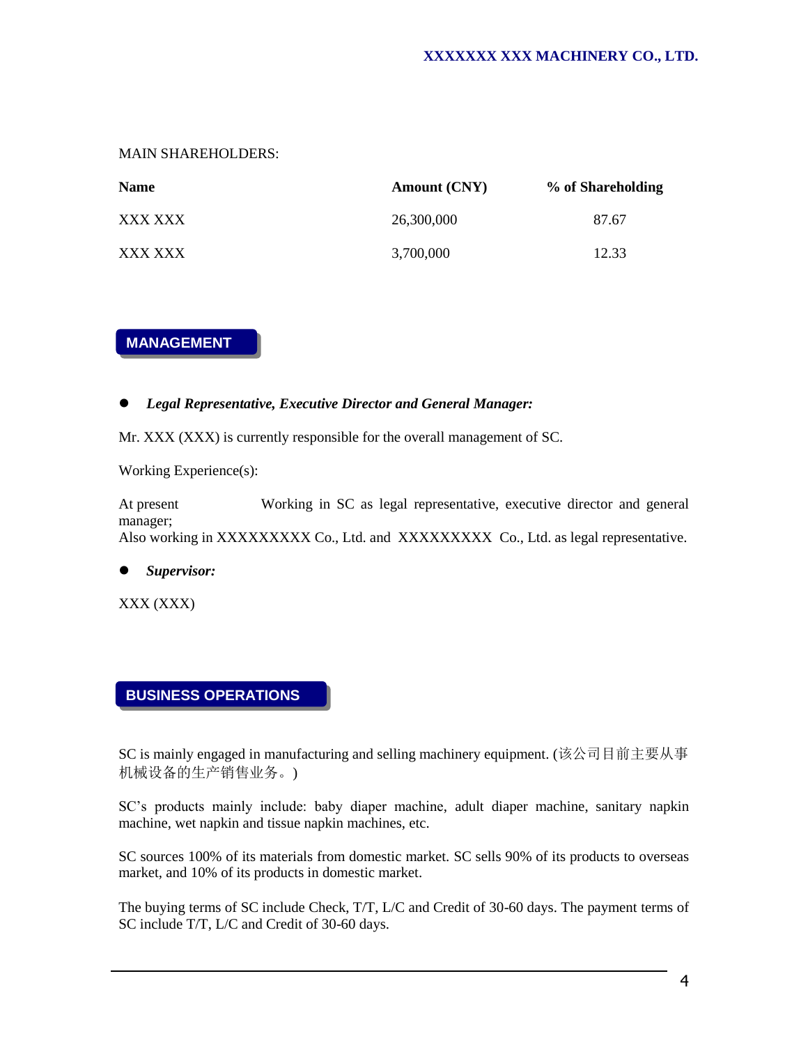MAIN SHAREHOLDERS:

| <b>Name</b> | <b>Amount (CNY)</b> | % of Shareholding |
|-------------|---------------------|-------------------|
| XXX XXX     | 26.300,000          | 87.67             |
| XXX XXX     | 3,700,000           | 12.33             |

## **MANAGEMENT**

#### *Legal Representative, Executive Director and General Manager:*

Mr. XXX (XXX) is currently responsible for the overall management of SC.

Working Experience(s):

At present Working in SC as legal representative, executive director and general manager; Also working in XXXXXXXXX Co., Ltd. and XXXXXXXXX Co., Ltd. as legal representative.

*Supervisor:* 

XXX (XXX)

## **BUSINESS OPERATIONS**

*BACKGROUND*

SC is mainly engaged in manufacturing and selling machinery equipment. (该公司目前主要从事 机械设备的生产销售业务。)

SC's products mainly include: baby diaper machine, adult diaper machine, sanitary napkin machine, wet napkin and tissue napkin machines, etc.

SC sources 100% of its materials from domestic market. SC sells 90% of its products to overseas market, and 10% of its products in domestic market.

The buying terms of SC include Check, T/T, L/C and Credit of 30-60 days. The payment terms of SC include T/T, L/C and Credit of 30-60 days.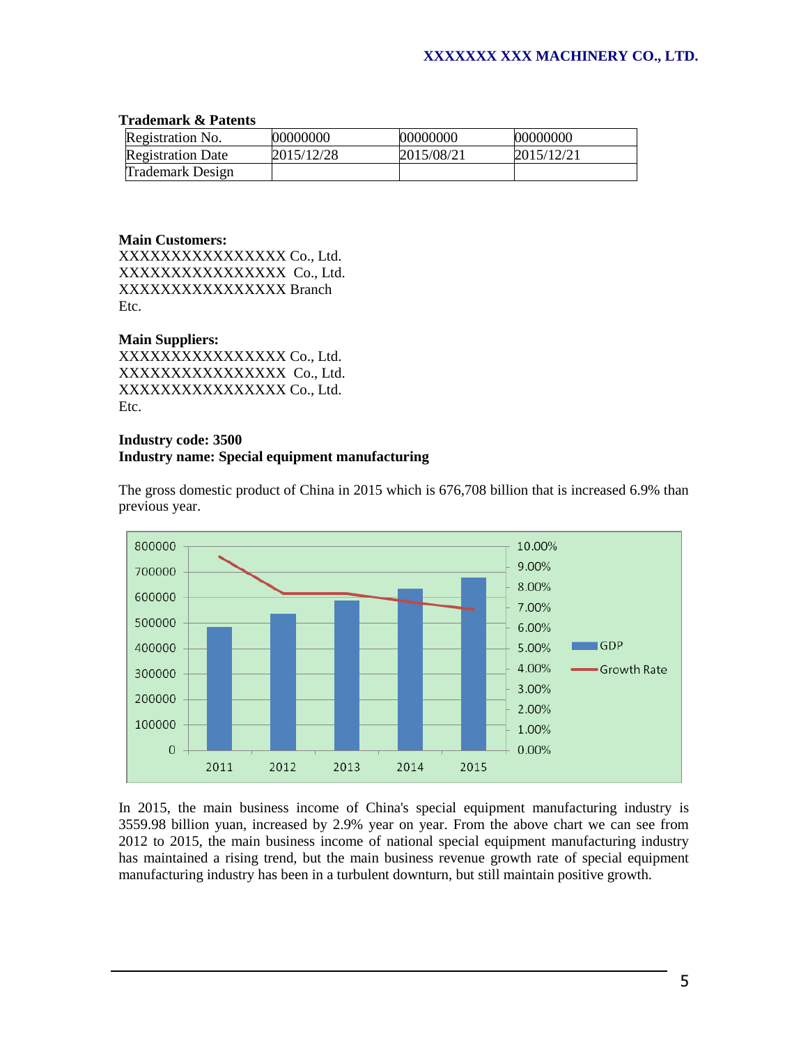#### **Trademark & Patents**

| Registration No.         | 00000000   | 00000000   | 00000000   |
|--------------------------|------------|------------|------------|
| <b>Registration Date</b> | 2015/12/28 | 2015/08/21 | 2015/12/21 |
| Trademark Design         |            |            |            |

#### **Main Customers:**

XXXXXXXXXXXXXXXX Co., Ltd. XXXXXXXXXXXXXXXX Co., Ltd. XXXXXXXXXXXXXXXX Branch Etc.

#### **Main Suppliers:**

XXXXXXXXXXXXXXXX Co., Ltd. XXXXXXXXXXXXXXXX Co., Ltd. XXXXXXXXXXXXXXXX Co., Ltd. Etc.

#### **Industry code: 3500 Industry name: Special equipment manufacturing**



The gross domestic product of China in 2015 which is 676,708 billion that is increased 6.9% than previous year.

In 2015, the main business income of China's special equipment manufacturing industry is 3559.98 billion yuan, increased by 2.9% year on year. From the above chart we can see from 2012 to 2015, the main business income of national special equipment manufacturing industry has maintained a rising trend, but the main business revenue growth rate of special equipment manufacturing industry has been in a turbulent downturn, but still maintain positive growth.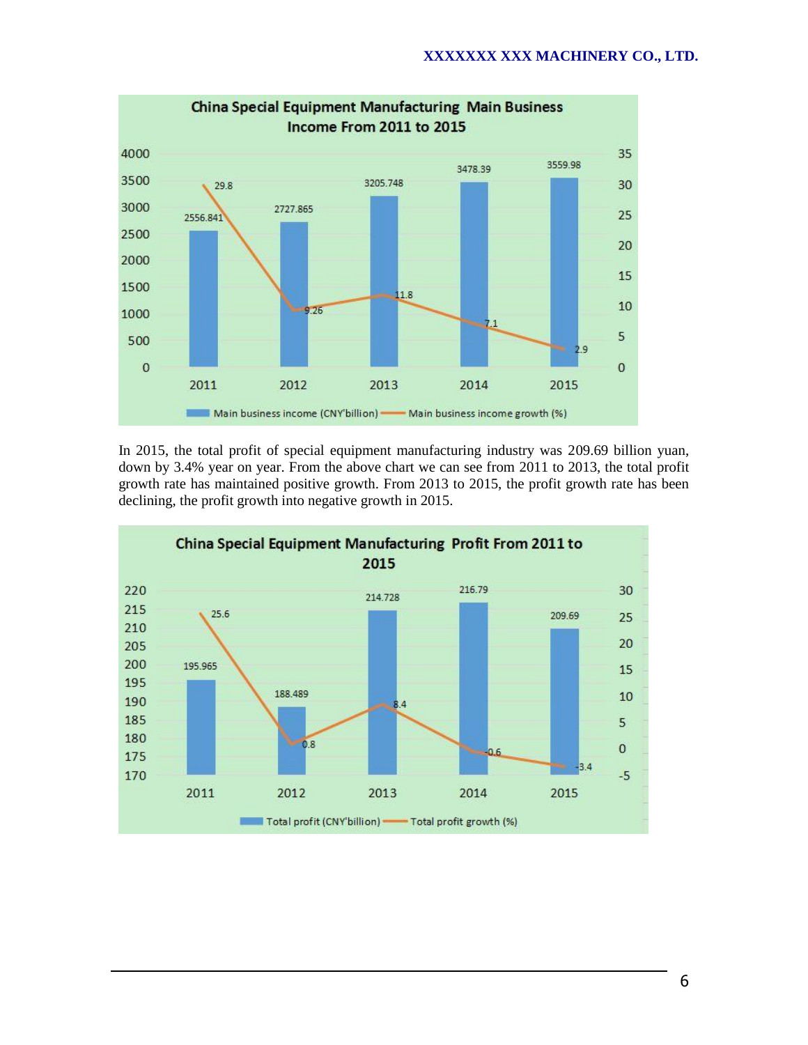

In 2015, the total profit of special equipment manufacturing industry was 209.69 billion yuan, down by 3.4% year on year. From the above chart we can see from 2011 to 2013, the total profit growth rate has maintained positive growth. From 2013 to 2015, the profit growth rate has been declining, the profit growth into negative growth in 2015.

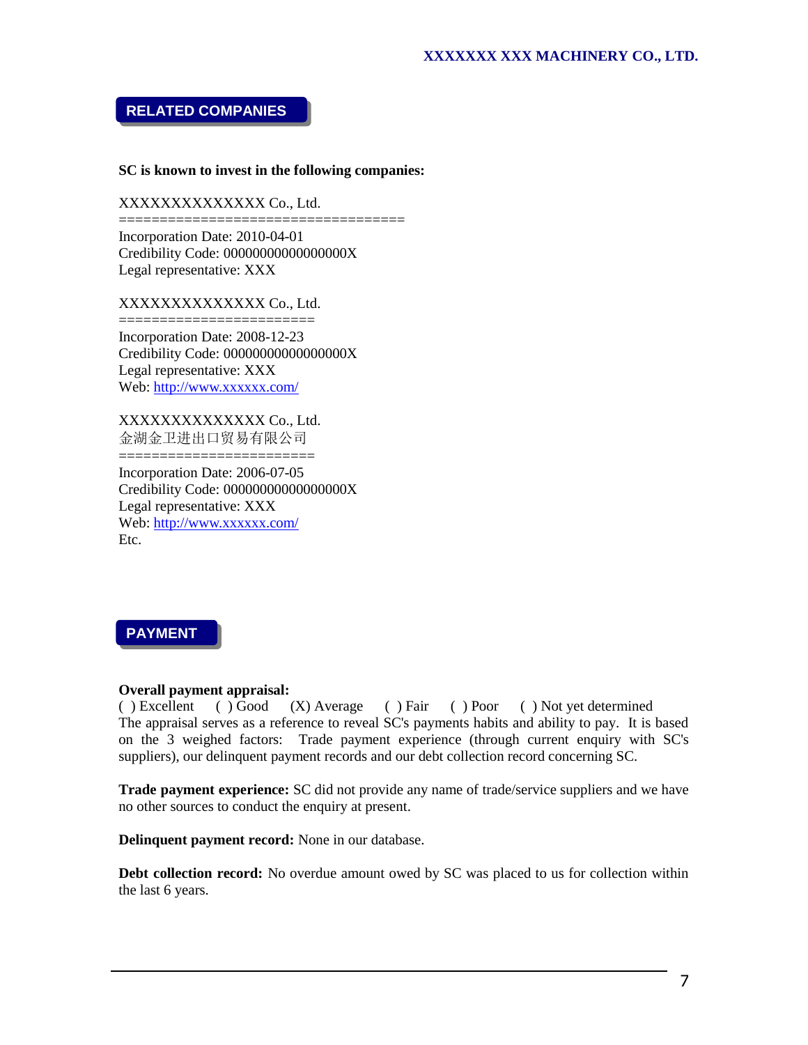# **RELATED COMPANIES**

#### **SC is known to invest in the following companies:**

#### XXXXXXXXXXXXXX Co., Ltd.

=================================== Incorporation Date: 2010-04-01 Credibility Code: 00000000000000000X Legal representative: XXX

#### XXXXXXXXXXXXXX Co., Ltd.

========================== Incorporation Date: 2008-12-23 Credibility Code: 00000000000000000X Legal representative: XXX Web:<http://www.xxxxxx.com/>

XXXXXXXXXXXXXX Co., Ltd. 金湖金卫进出口贸易有限公司 ========================

Incorporation Date: 2006-07-05 Credibility Code: 00000000000000000X Legal representative: XXX Web:<http://www.xxxxxx.com/> Etc.

**PAYMENT**

# *Overall payment appraisal:*

 $(X)$  Average ( ) Fair ( ) Poor ( ) Not yet determined The appraisal serves as a reference to reveal SC's payments habits and ability to pay. It is based on the 3 weighed factors: Trade payment experience (through current enquiry with SC's suppliers), our delinquent payment records and our debt collection record concerning SC. () Excellent () Good

**Trade payment experience:** SC did not provide any name of trade/service suppliers and we have no other sources to conduct the enquiry at present.

**Delinquent payment record:** None in our database.

**Debt collection record:** No overdue amount owed by SC was placed to us for collection within the last 6 years.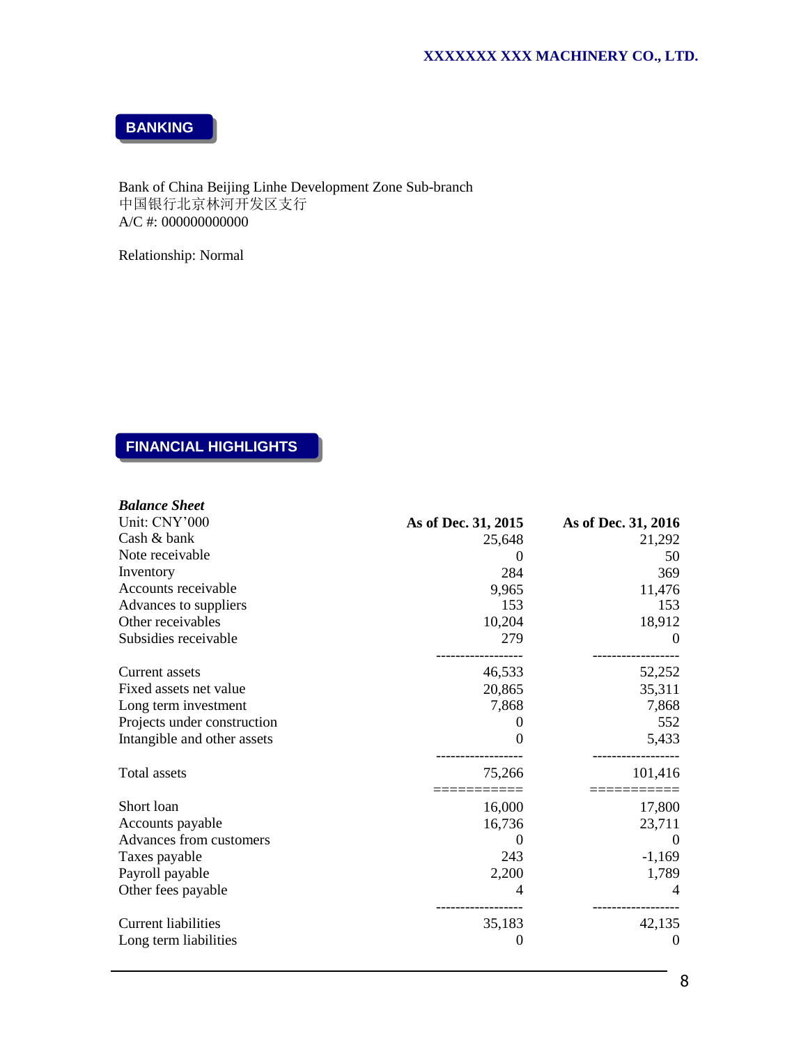**BANKING**

Bank of China Beijing Linhe Development Zone Sub-branch 中国银行北京林河开发区支行 A/C #: 000000000000 Dank (<br>∟ <del>E</del>l £r

Relationship: Normal

# **FINANCIAL HIGHLIGHTS**

| <b>Balance Sheet</b>        |                     |                     |
|-----------------------------|---------------------|---------------------|
| Unit: CNY'000               | As of Dec. 31, 2015 | As of Dec. 31, 2016 |
| Cash & bank                 | 25,648              | 21,292              |
| Note receivable             | 0                   | 50                  |
| Inventory                   | 284                 | 369                 |
| Accounts receivable         | 9,965               | 11,476              |
| Advances to suppliers       | 153                 | 153                 |
| Other receivables           | 10,204              | 18,912              |
| Subsidies receivable        | 279                 | $\Omega$            |
| Current assets              | 46,533              | 52,252              |
| Fixed assets net value      | 20,865              | 35,311              |
| Long term investment        | 7,868               | 7,868               |
| Projects under construction | 0                   | 552                 |
| Intangible and other assets | 0                   | 5,433               |
| Total assets                | 75,266              | 101,416             |
| Short loan                  | 16,000              | 17,800              |
| Accounts payable            | 16,736              | 23,711              |
| Advances from customers     |                     | $\Omega$            |
| Taxes payable               | 243                 | $-1,169$            |
| Payroll payable             | 2,200               | 1,789               |
| Other fees payable          |                     |                     |
| <b>Current liabilities</b>  | 35,183              | 42,135              |
| Long term liabilities       | 0                   | $\overline{0}$      |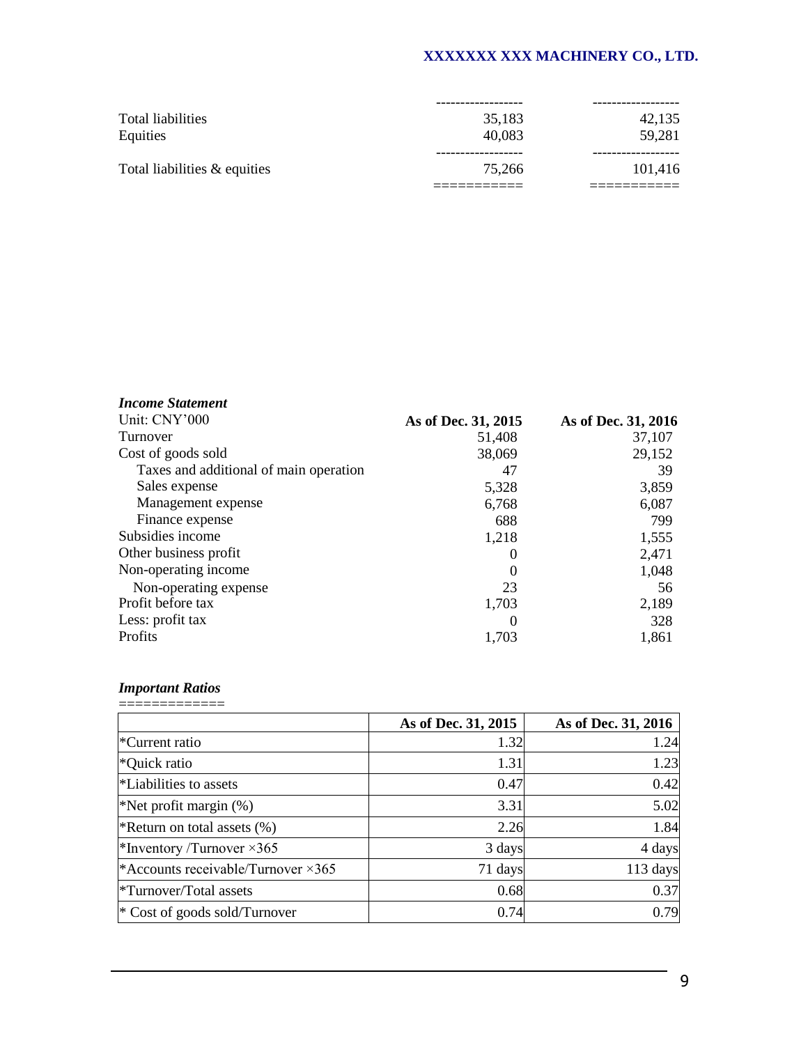|                              | ------------ |         |
|------------------------------|--------------|---------|
| Total liabilities            | 35,183       | 42,135  |
| Equities                     | 40.083       | 59,281  |
| Total liabilities & equities | 75.266       | 101,416 |
|                              |              |         |

| <b>Income Statement</b>                |                     |                     |
|----------------------------------------|---------------------|---------------------|
| Unit: CNY'000                          | As of Dec. 31, 2015 | As of Dec. 31, 2016 |
| Turnover                               | 51,408              | 37,107              |
| Cost of goods sold                     | 38,069              | 29,152              |
| Taxes and additional of main operation | 47                  | 39                  |
| Sales expense                          | 5,328               | 3,859               |
| Management expense                     | 6,768               | 6,087               |
| Finance expense                        | 688                 | 799                 |
| Subsidies income                       | 1,218               | 1,555               |
| Other business profit                  | $\Omega$            | 2,471               |
| Non-operating income                   | $\theta$            | 1,048               |
| Non-operating expense                  | 23                  | 56                  |
| Profit before tax                      | 1,703               | 2,189               |
| Less: profit tax                       | $\Omega$            | 328                 |
| Profits                                | 1,703               | 1,861               |

#### *Important Ratios* =============

|                                            | As of Dec. 31, 2015 | As of Dec. 31, 2016 |
|--------------------------------------------|---------------------|---------------------|
| *Current ratio                             | 1.32                | 1.24                |
| *Quick ratio                               | 1.31                | 1.23                |
| *Liabilities to assets                     | 0.47                | 0.42                |
| *Net profit margin $(\%)$                  | 3.31                | 5.02                |
| *Return on total assets $(\%)$             | 2.26                | 1.84                |
| *Inventory /Turnover $\times$ 365          | 3 days              | 4 days              |
| *Accounts receivable/Turnover $\times 365$ | 71 days             | 113 days            |
| <i><b>*Turnover/Total assets</b></i>       | 0.68                | 0.37                |
| * Cost of goods sold/Turnover              | 0.74                | 0.79                |